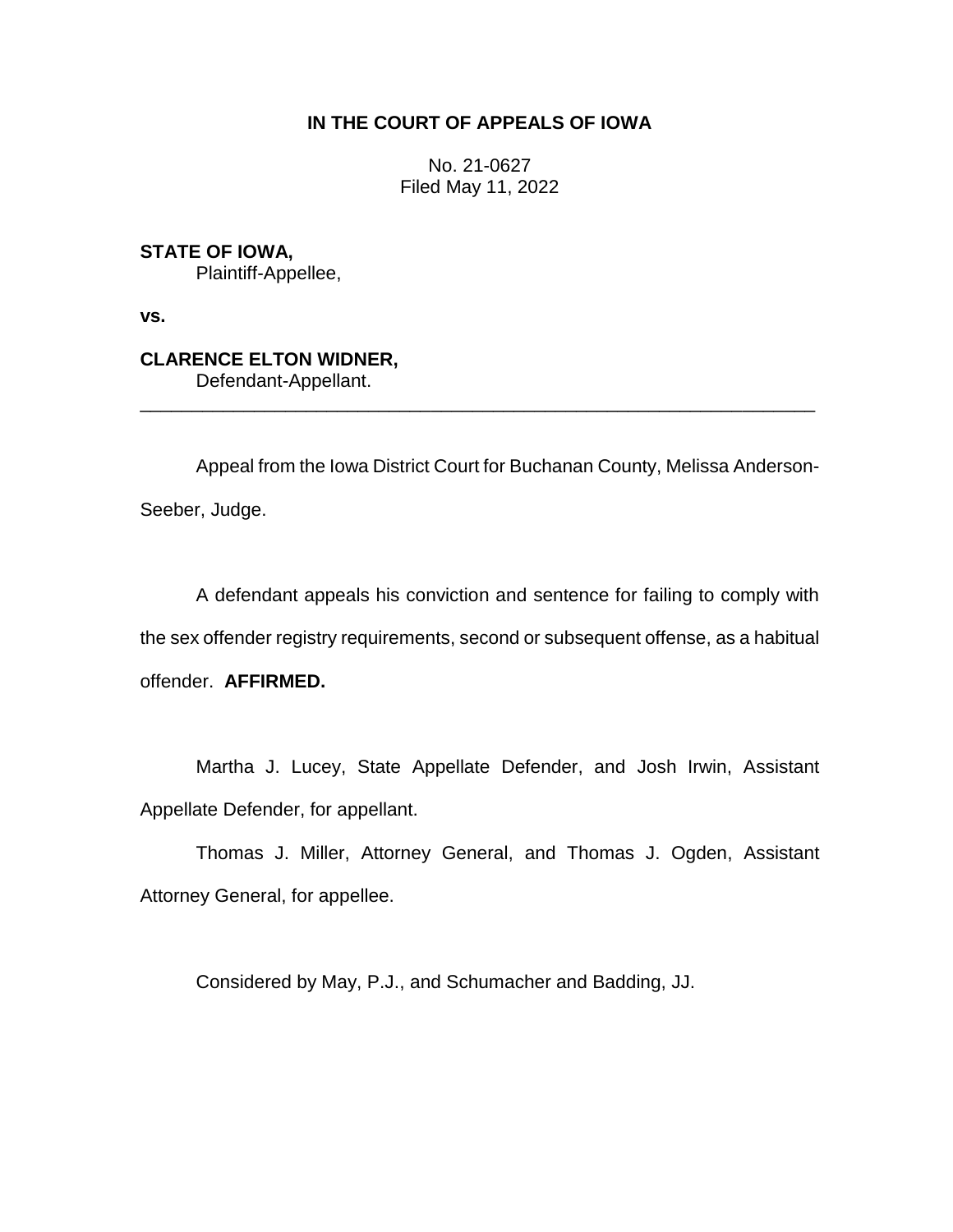# **IN THE COURT OF APPEALS OF IOWA**

No. 21-0627 Filed May 11, 2022

**STATE OF IOWA,** Plaintiff-Appellee,

**vs.**

**CLARENCE ELTON WIDNER,** Defendant-Appellant.

Appeal from the Iowa District Court for Buchanan County, Melissa Anderson-Seeber, Judge.

\_\_\_\_\_\_\_\_\_\_\_\_\_\_\_\_\_\_\_\_\_\_\_\_\_\_\_\_\_\_\_\_\_\_\_\_\_\_\_\_\_\_\_\_\_\_\_\_\_\_\_\_\_\_\_\_\_\_\_\_\_\_\_\_\_

A defendant appeals his conviction and sentence for failing to comply with the sex offender registry requirements, second or subsequent offense, as a habitual offender. **AFFIRMED.**

Martha J. Lucey, State Appellate Defender, and Josh Irwin, Assistant Appellate Defender, for appellant.

Thomas J. Miller, Attorney General, and Thomas J. Ogden, Assistant Attorney General, for appellee.

Considered by May, P.J., and Schumacher and Badding, JJ.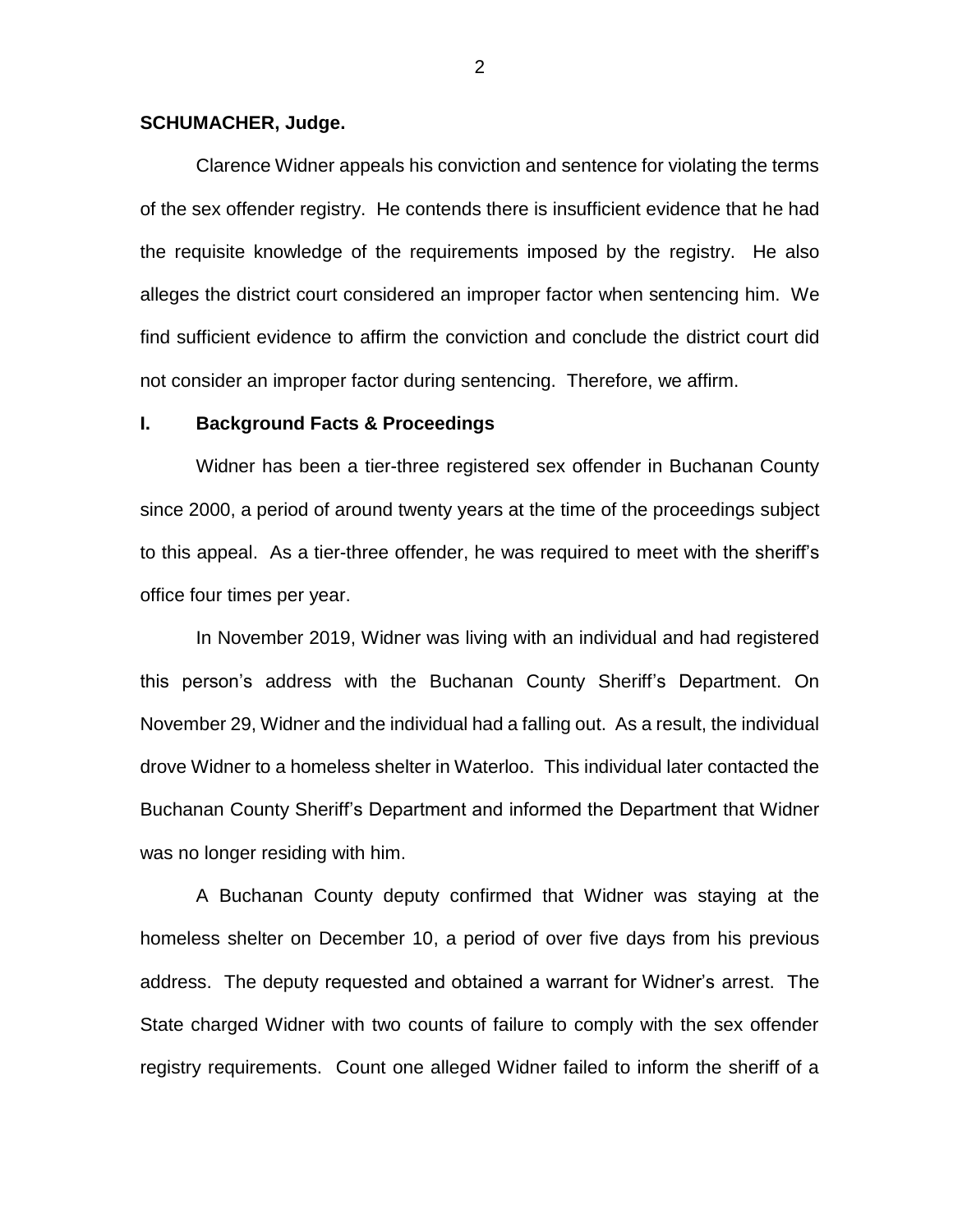## **SCHUMACHER, Judge.**

Clarence Widner appeals his conviction and sentence for violating the terms of the sex offender registry. He contends there is insufficient evidence that he had the requisite knowledge of the requirements imposed by the registry. He also alleges the district court considered an improper factor when sentencing him. We find sufficient evidence to affirm the conviction and conclude the district court did not consider an improper factor during sentencing. Therefore, we affirm.

### **I. Background Facts & Proceedings**

Widner has been a tier-three registered sex offender in Buchanan County since 2000, a period of around twenty years at the time of the proceedings subject to this appeal. As a tier-three offender, he was required to meet with the sheriff's office four times per year.

In November 2019, Widner was living with an individual and had registered this person's address with the Buchanan County Sheriff's Department. On November 29, Widner and the individual had a falling out. As a result, the individual drove Widner to a homeless shelter in Waterloo. This individual later contacted the Buchanan County Sheriff's Department and informed the Department that Widner was no longer residing with him.

A Buchanan County deputy confirmed that Widner was staying at the homeless shelter on December 10, a period of over five days from his previous address. The deputy requested and obtained a warrant for Widner's arrest. The State charged Widner with two counts of failure to comply with the sex offender registry requirements. Count one alleged Widner failed to inform the sheriff of a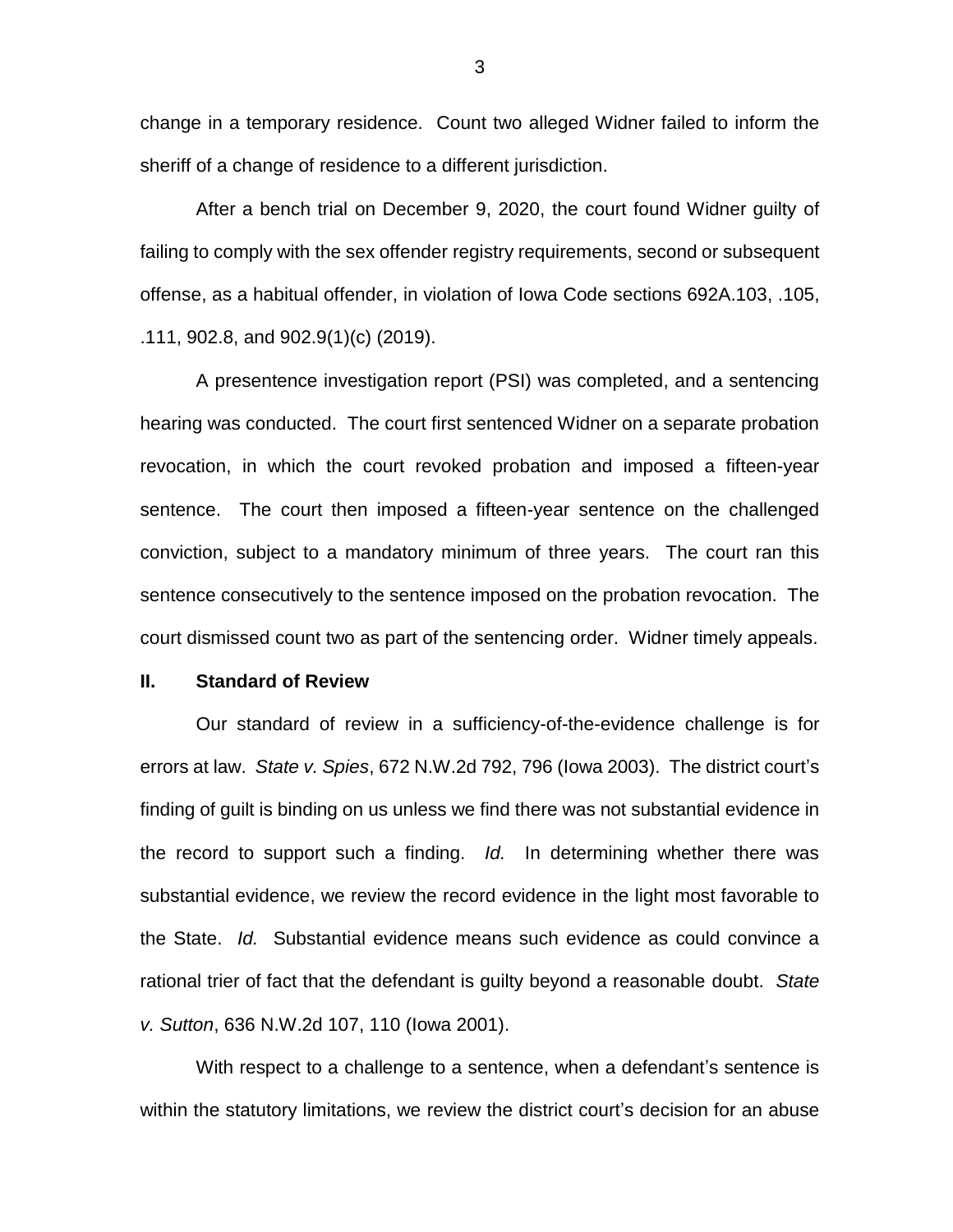change in a temporary residence. Count two alleged Widner failed to inform the sheriff of a change of residence to a different jurisdiction.

After a bench trial on December 9, 2020, the court found Widner guilty of failing to comply with the sex offender registry requirements, second or subsequent offense, as a habitual offender, in violation of Iowa Code sections 692A.103, .105, .111, 902.8, and 902.9(1)(c) (2019).

A presentence investigation report (PSI) was completed, and a sentencing hearing was conducted. The court first sentenced Widner on a separate probation revocation, in which the court revoked probation and imposed a fifteen-year sentence. The court then imposed a fifteen-year sentence on the challenged conviction, subject to a mandatory minimum of three years. The court ran this sentence consecutively to the sentence imposed on the probation revocation. The court dismissed count two as part of the sentencing order. Widner timely appeals.

#### **II. Standard of Review**

Our standard of review in a sufficiency-of-the-evidence challenge is for errors at law. *State v. Spies*, 672 N.W.2d 792, 796 (Iowa 2003). The district court's finding of guilt is binding on us unless we find there was not substantial evidence in the record to support such a finding. *Id.* In determining whether there was substantial evidence, we review the record evidence in the light most favorable to the State. *Id.* Substantial evidence means such evidence as could convince a rational trier of fact that the defendant is guilty beyond a reasonable doubt. *State v. Sutton*, 636 N.W.2d 107, 110 (Iowa 2001).

With respect to a challenge to a sentence, when a defendant's sentence is within the statutory limitations, we review the district court's decision for an abuse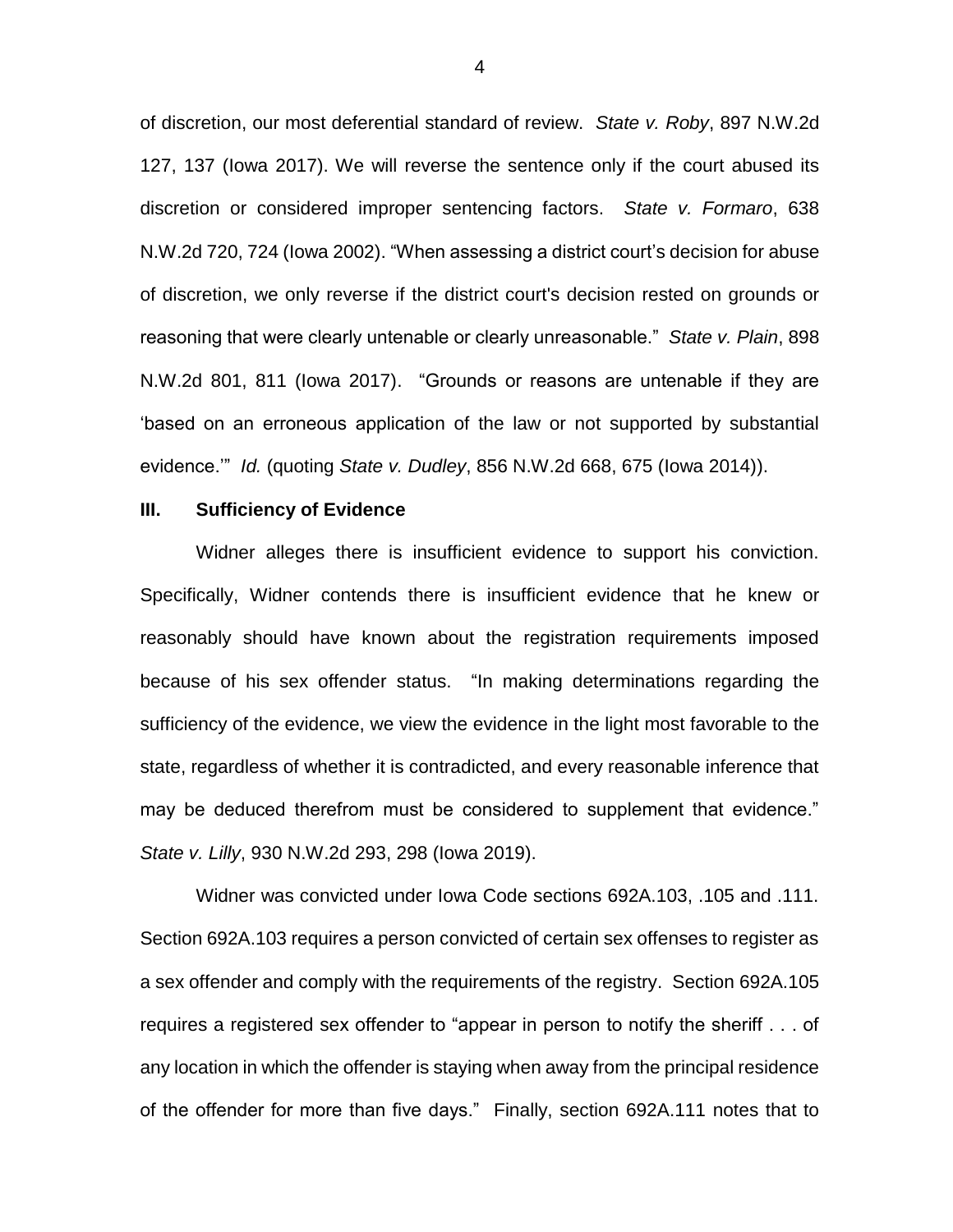of discretion, our most deferential standard of review. *State v. Roby*, 897 N.W.2d 127, 137 (Iowa 2017). We will reverse the sentence only if the court abused its discretion or considered improper sentencing factors. *State v. Formaro*, 638 N.W.2d 720, 724 (Iowa 2002). "When assessing a district court's decision for abuse of discretion, we only reverse if the district court's decision rested on grounds or reasoning that were clearly untenable or clearly unreasonable." *State v. Plain*, 898 N.W.2d 801, 811 (Iowa 2017). "Grounds or reasons are untenable if they are 'based on an erroneous application of the law or not supported by substantial evidence.'" *Id.* (quoting *State v. Dudley*, 856 N.W.2d 668, 675 (Iowa 2014)).

### **III. Sufficiency of Evidence**

Widner alleges there is insufficient evidence to support his conviction. Specifically, Widner contends there is insufficient evidence that he knew or reasonably should have known about the registration requirements imposed because of his sex offender status. "In making determinations regarding the sufficiency of the evidence, we view the evidence in the light most favorable to the state, regardless of whether it is contradicted, and every reasonable inference that may be deduced therefrom must be considered to supplement that evidence." *State v. Lilly*, 930 N.W.2d 293, 298 (Iowa 2019).

Widner was convicted under Iowa Code sections 692A.103, .105 and .111. Section 692A.103 requires a person convicted of certain sex offenses to register as a sex offender and comply with the requirements of the registry. Section 692A.105 requires a registered sex offender to "appear in person to notify the sheriff . . . of any location in which the offender is staying when away from the principal residence of the offender for more than five days." Finally, section 692A.111 notes that to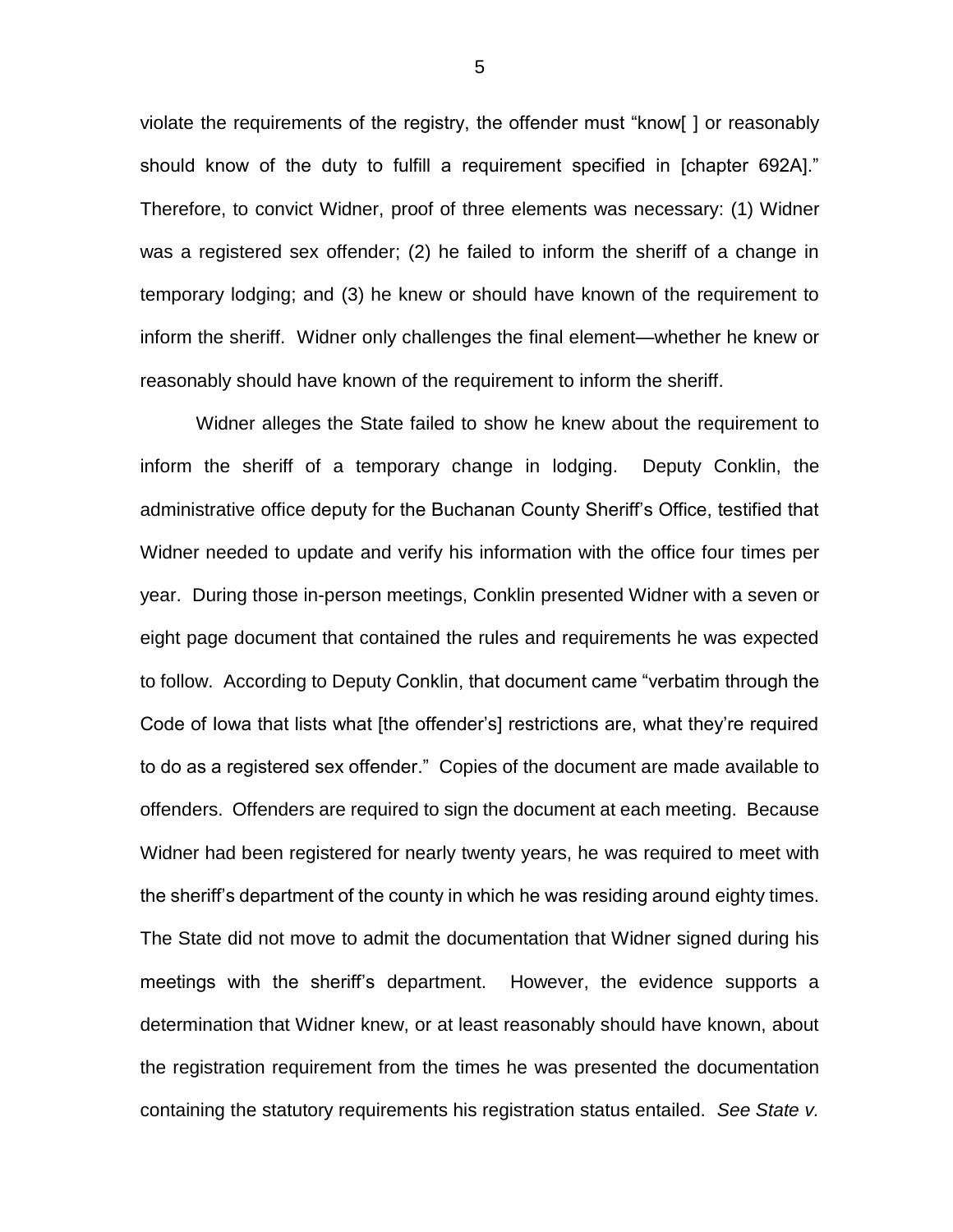violate the requirements of the registry, the offender must "know[ ] or reasonably should know of the duty to fulfill a requirement specified in [chapter 692A]." Therefore, to convict Widner, proof of three elements was necessary: (1) Widner was a registered sex offender; (2) he failed to inform the sheriff of a change in temporary lodging; and (3) he knew or should have known of the requirement to inform the sheriff. Widner only challenges the final element—whether he knew or reasonably should have known of the requirement to inform the sheriff.

Widner alleges the State failed to show he knew about the requirement to inform the sheriff of a temporary change in lodging. Deputy Conklin, the administrative office deputy for the Buchanan County Sheriff's Office, testified that Widner needed to update and verify his information with the office four times per year. During those in-person meetings, Conklin presented Widner with a seven or eight page document that contained the rules and requirements he was expected to follow. According to Deputy Conklin, that document came "verbatim through the Code of Iowa that lists what [the offender's] restrictions are, what they're required to do as a registered sex offender." Copies of the document are made available to offenders. Offenders are required to sign the document at each meeting. Because Widner had been registered for nearly twenty years, he was required to meet with the sheriff's department of the county in which he was residing around eighty times. The State did not move to admit the documentation that Widner signed during his meetings with the sheriff's department. However, the evidence supports a determination that Widner knew, or at least reasonably should have known, about the registration requirement from the times he was presented the documentation containing the statutory requirements his registration status entailed. *See State v.*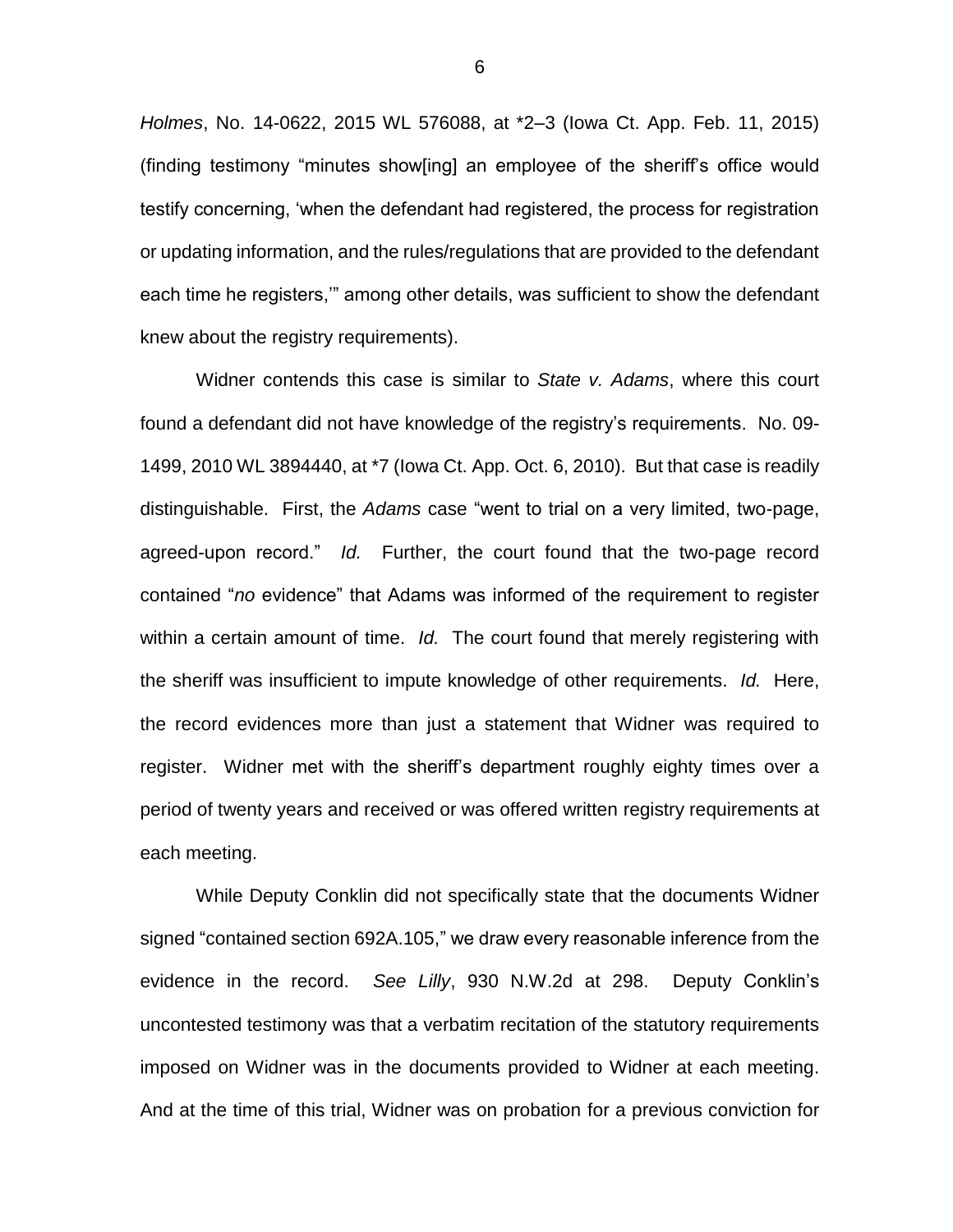*Holmes*, No. 14-0622, 2015 WL 576088, at \*2–3 (Iowa Ct. App. Feb. 11, 2015) (finding testimony "minutes show[ing] an employee of the sheriff's office would testify concerning, 'when the defendant had registered, the process for registration or updating information, and the rules/regulations that are provided to the defendant each time he registers,'" among other details, was sufficient to show the defendant knew about the registry requirements).

Widner contends this case is similar to *State v. Adams*, where this court found a defendant did not have knowledge of the registry's requirements. No. 09- 1499, 2010 WL 3894440, at \*7 (Iowa Ct. App. Oct. 6, 2010). But that case is readily distinguishable. First, the *Adams* case "went to trial on a very limited, two-page, agreed-upon record." *Id.* Further, the court found that the two-page record contained "*no* evidence" that Adams was informed of the requirement to register within a certain amount of time. *Id.* The court found that merely registering with the sheriff was insufficient to impute knowledge of other requirements. *Id.* Here, the record evidences more than just a statement that Widner was required to register. Widner met with the sheriff's department roughly eighty times over a period of twenty years and received or was offered written registry requirements at each meeting.

While Deputy Conklin did not specifically state that the documents Widner signed "contained section 692A.105," we draw every reasonable inference from the evidence in the record. *See Lilly*, 930 N.W.2d at 298. Deputy Conklin's uncontested testimony was that a verbatim recitation of the statutory requirements imposed on Widner was in the documents provided to Widner at each meeting. And at the time of this trial, Widner was on probation for a previous conviction for

6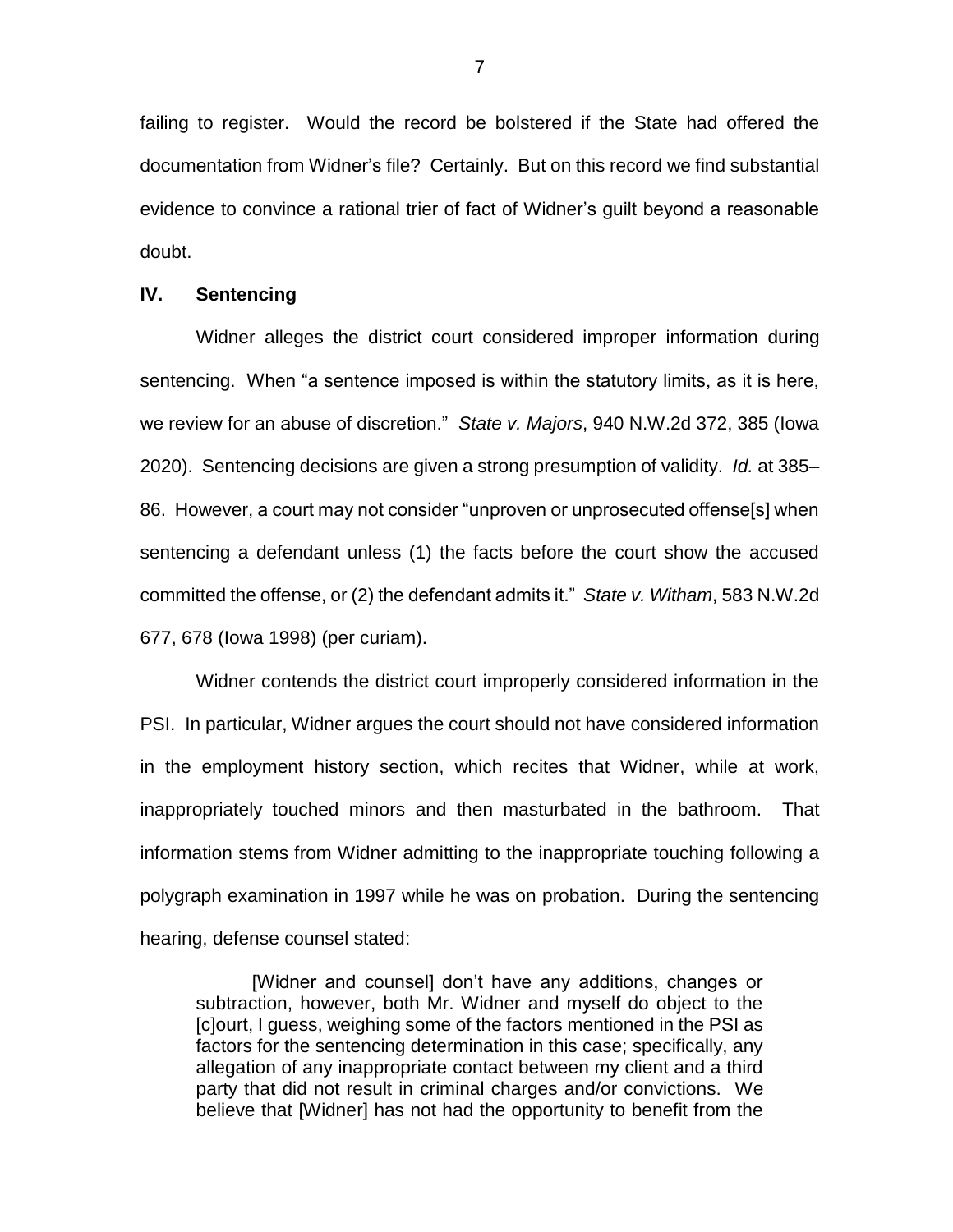failing to register. Would the record be bolstered if the State had offered the documentation from Widner's file? Certainly. But on this record we find substantial evidence to convince a rational trier of fact of Widner's guilt beyond a reasonable doubt.

# **IV. Sentencing**

Widner alleges the district court considered improper information during sentencing. When "a sentence imposed is within the statutory limits, as it is here, we review for an abuse of discretion." *State v. Majors*, 940 N.W.2d 372, 385 (Iowa 2020). Sentencing decisions are given a strong presumption of validity. *Id.* at 385– 86. However, a court may not consider "unproven or unprosecuted offense[s] when sentencing a defendant unless (1) the facts before the court show the accused committed the offense, or (2) the defendant admits it." *State v. Witham*, 583 N.W.2d 677, 678 (Iowa 1998) (per curiam).

Widner contends the district court improperly considered information in the PSI. In particular, Widner argues the court should not have considered information in the employment history section, which recites that Widner, while at work, inappropriately touched minors and then masturbated in the bathroom. That information stems from Widner admitting to the inappropriate touching following a polygraph examination in 1997 while he was on probation. During the sentencing hearing, defense counsel stated:

[Widner and counsel] don't have any additions, changes or subtraction, however, both Mr. Widner and myself do object to the [c]ourt, I guess, weighing some of the factors mentioned in the PSI as factors for the sentencing determination in this case; specifically, any allegation of any inappropriate contact between my client and a third party that did not result in criminal charges and/or convictions. We believe that [Widner] has not had the opportunity to benefit from the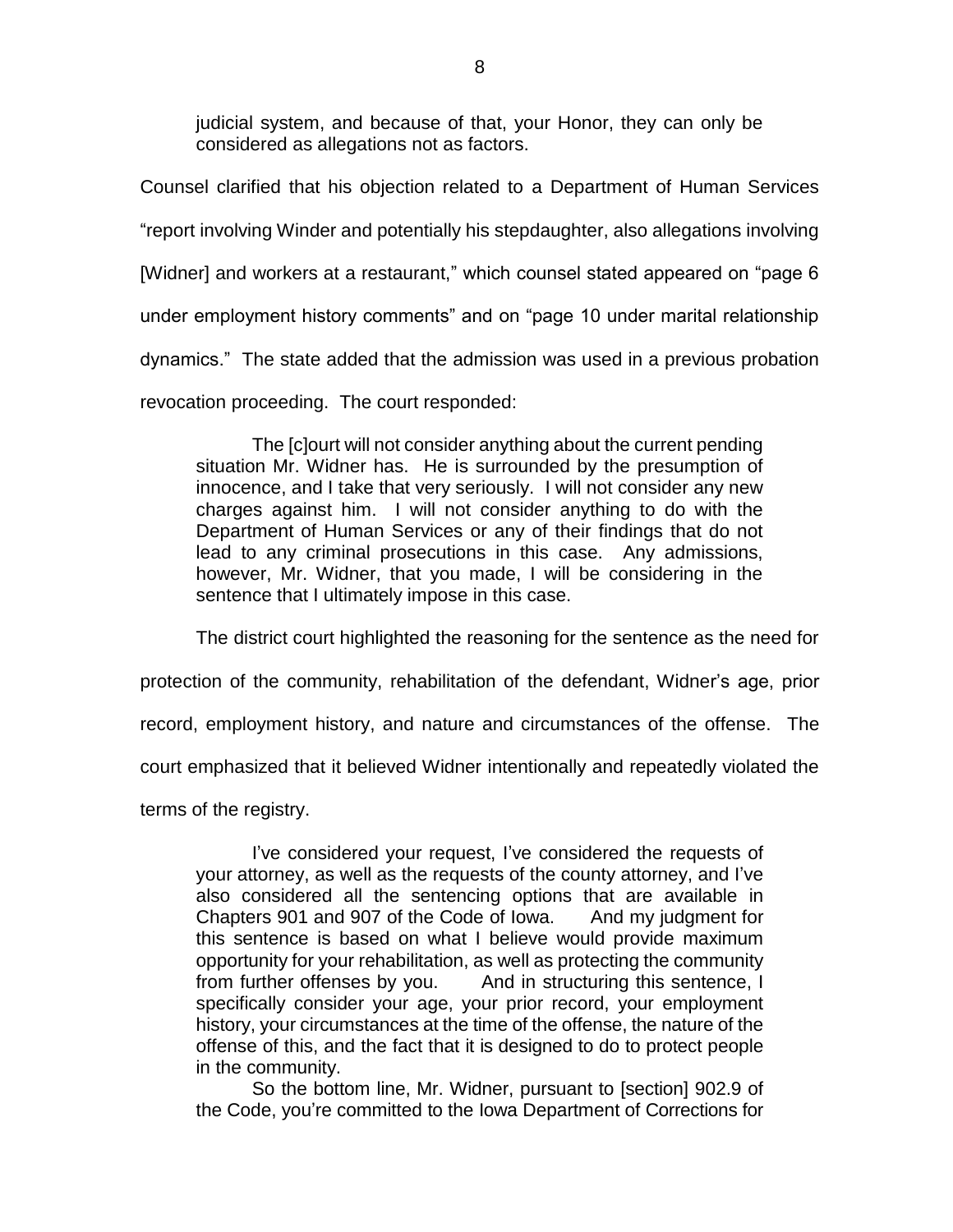judicial system, and because of that, your Honor, they can only be considered as allegations not as factors.

Counsel clarified that his objection related to a Department of Human Services "report involving Winder and potentially his stepdaughter, also allegations involving [Widner] and workers at a restaurant," which counsel stated appeared on "page 6 under employment history comments" and on "page 10 under marital relationship dynamics." The state added that the admission was used in a previous probation revocation proceeding. The court responded:

The [c]ourt will not consider anything about the current pending situation Mr. Widner has. He is surrounded by the presumption of innocence, and I take that very seriously. I will not consider any new charges against him. I will not consider anything to do with the Department of Human Services or any of their findings that do not lead to any criminal prosecutions in this case. Any admissions, however, Mr. Widner, that you made, I will be considering in the sentence that I ultimately impose in this case.

The district court highlighted the reasoning for the sentence as the need for

protection of the community, rehabilitation of the defendant, Widner's age, prior

record, employment history, and nature and circumstances of the offense. The

court emphasized that it believed Widner intentionally and repeatedly violated the

terms of the registry.

I've considered your request, I've considered the requests of your attorney, as well as the requests of the county attorney, and I've also considered all the sentencing options that are available in Chapters 901 and 907 of the Code of Iowa. And my judgment for this sentence is based on what I believe would provide maximum opportunity for your rehabilitation, as well as protecting the community from further offenses by you. And in structuring this sentence, I specifically consider your age, your prior record, your employment history, your circumstances at the time of the offense, the nature of the offense of this, and the fact that it is designed to do to protect people in the community.

So the bottom line, Mr. Widner, pursuant to [section] 902.9 of the Code, you're committed to the Iowa Department of Corrections for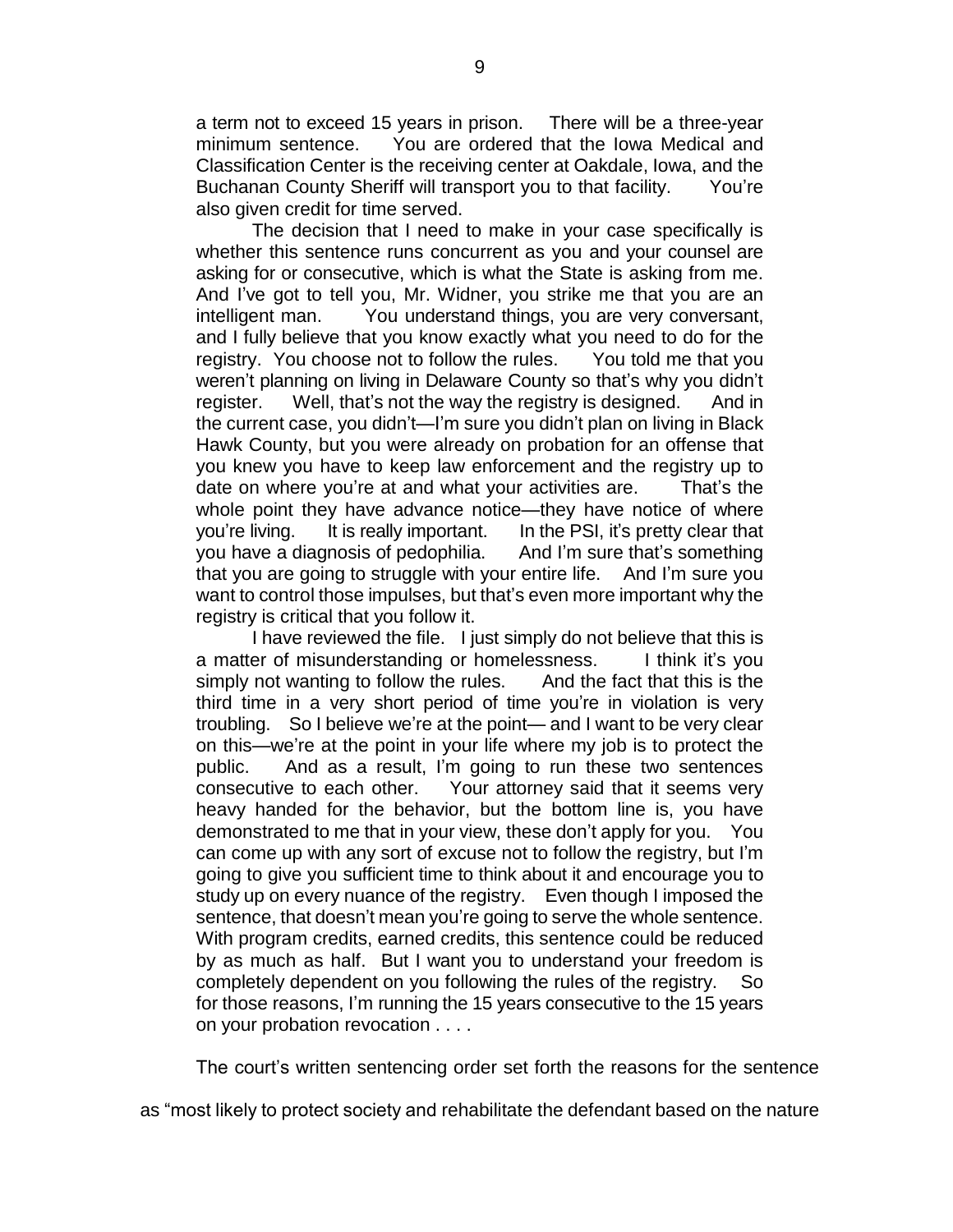a term not to exceed 15 years in prison. There will be a three-year minimum sentence. You are ordered that the Iowa Medical and Classification Center is the receiving center at Oakdale, Iowa, and the Buchanan County Sheriff will transport you to that facility. You're also given credit for time served.

The decision that I need to make in your case specifically is whether this sentence runs concurrent as you and your counsel are asking for or consecutive, which is what the State is asking from me. And I've got to tell you, Mr. Widner, you strike me that you are an intelligent man. You understand things, you are very conversant, and I fully believe that you know exactly what you need to do for the registry. You choose not to follow the rules. You told me that you weren't planning on living in Delaware County so that's why you didn't register. Well, that's not the way the registry is designed. And in the current case, you didn't—I'm sure you didn't plan on living in Black Hawk County, but you were already on probation for an offense that you knew you have to keep law enforcement and the registry up to date on where you're at and what your activities are. That's the whole point they have advance notice—they have notice of where you're living. It is really important. In the PSI, it's pretty clear that you have a diagnosis of pedophilia. And I'm sure that's something that you are going to struggle with your entire life. And I'm sure you want to control those impulses, but that's even more important why the registry is critical that you follow it.

I have reviewed the file. I just simply do not believe that this is a matter of misunderstanding or homelessness. I think it's you simply not wanting to follow the rules. And the fact that this is the third time in a very short period of time you're in violation is very troubling. So I believe we're at the point— and I want to be very clear on this—we're at the point in your life where my job is to protect the public. And as a result, I'm going to run these two sentences consecutive to each other. Your attorney said that it seems very heavy handed for the behavior, but the bottom line is, you have demonstrated to me that in your view, these don't apply for you. You can come up with any sort of excuse not to follow the registry, but I'm going to give you sufficient time to think about it and encourage you to study up on every nuance of the registry. Even though I imposed the sentence, that doesn't mean you're going to serve the whole sentence. With program credits, earned credits, this sentence could be reduced by as much as half. But I want you to understand your freedom is completely dependent on you following the rules of the registry. So for those reasons, I'm running the 15 years consecutive to the 15 years on your probation revocation . . . .

The court's written sentencing order set forth the reasons for the sentence

as "most likely to protect society and rehabilitate the defendant based on the nature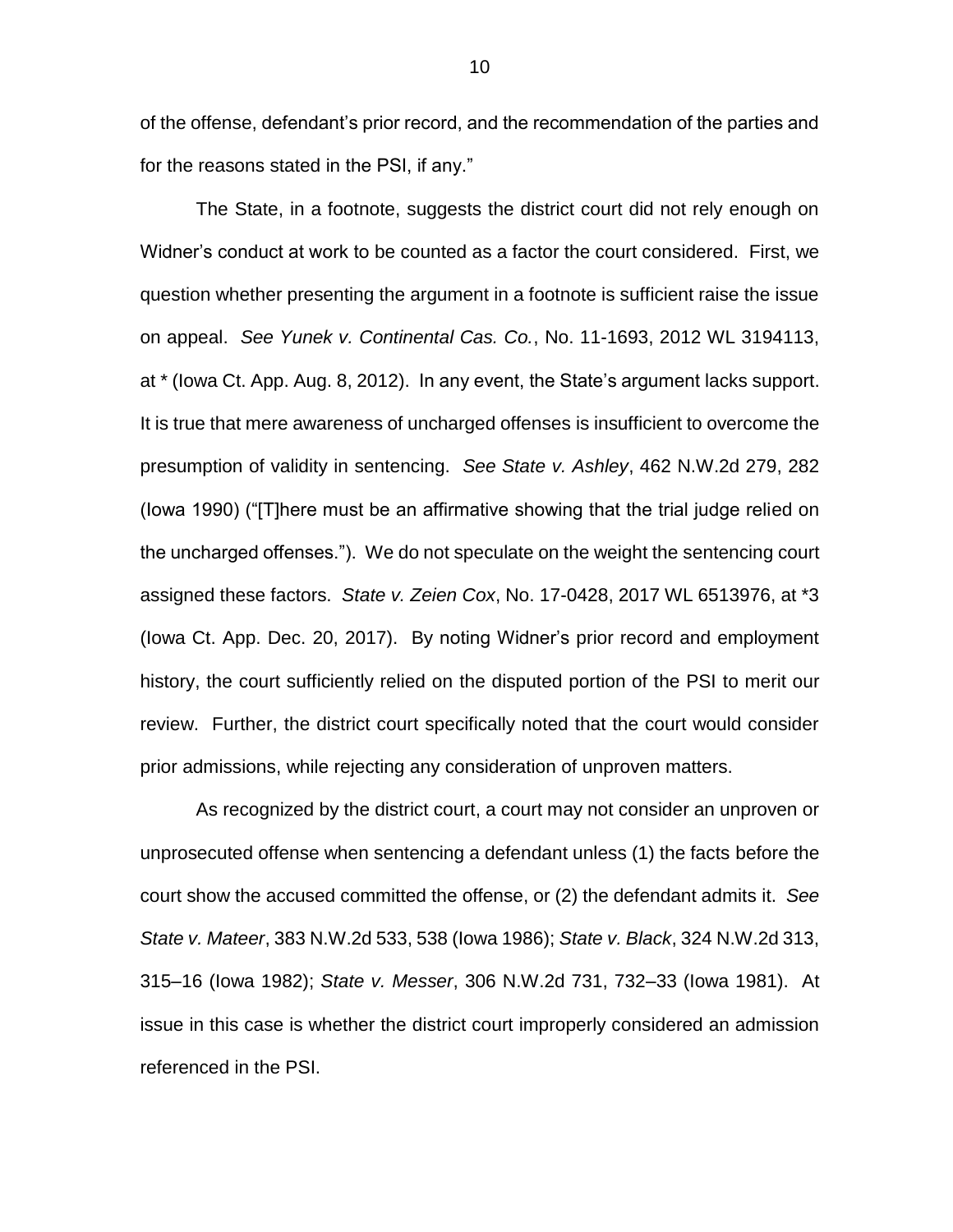of the offense, defendant's prior record, and the recommendation of the parties and for the reasons stated in the PSI, if any."

The State, in a footnote, suggests the district court did not rely enough on Widner's conduct at work to be counted as a factor the court considered. First, we question whether presenting the argument in a footnote is sufficient raise the issue on appeal. *See Yunek v. Continental Cas. Co.*, No. 11-1693, 2012 WL 3194113, at \* (Iowa Ct. App. Aug. 8, 2012). In any event, the State's argument lacks support. It is true that mere awareness of uncharged offenses is insufficient to overcome the presumption of validity in sentencing. *See State v. Ashley*, 462 N.W.2d 279, 282 (Iowa 1990) ("[T]here must be an affirmative showing that the trial judge relied on the uncharged offenses."). We do not speculate on the weight the sentencing court assigned these factors. *State v. Zeien Cox*, No. 17-0428, 2017 WL 6513976, at \*3 (Iowa Ct. App. Dec. 20, 2017). By noting Widner's prior record and employment history, the court sufficiently relied on the disputed portion of the PSI to merit our review. Further, the district court specifically noted that the court would consider prior admissions, while rejecting any consideration of unproven matters.

As recognized by the district court, a court may not consider an unproven or unprosecuted offense when sentencing a defendant unless (1) the facts before the court show the accused committed the offense, or (2) the defendant admits it. *See State v. Mateer*, 383 N.W.2d 533, 538 (Iowa 1986); *State v. Black*, 324 N.W.2d 313, 315–16 (Iowa 1982); *State v. Messer*, 306 N.W.2d 731, 732–33 (Iowa 1981). At issue in this case is whether the district court improperly considered an admission referenced in the PSI.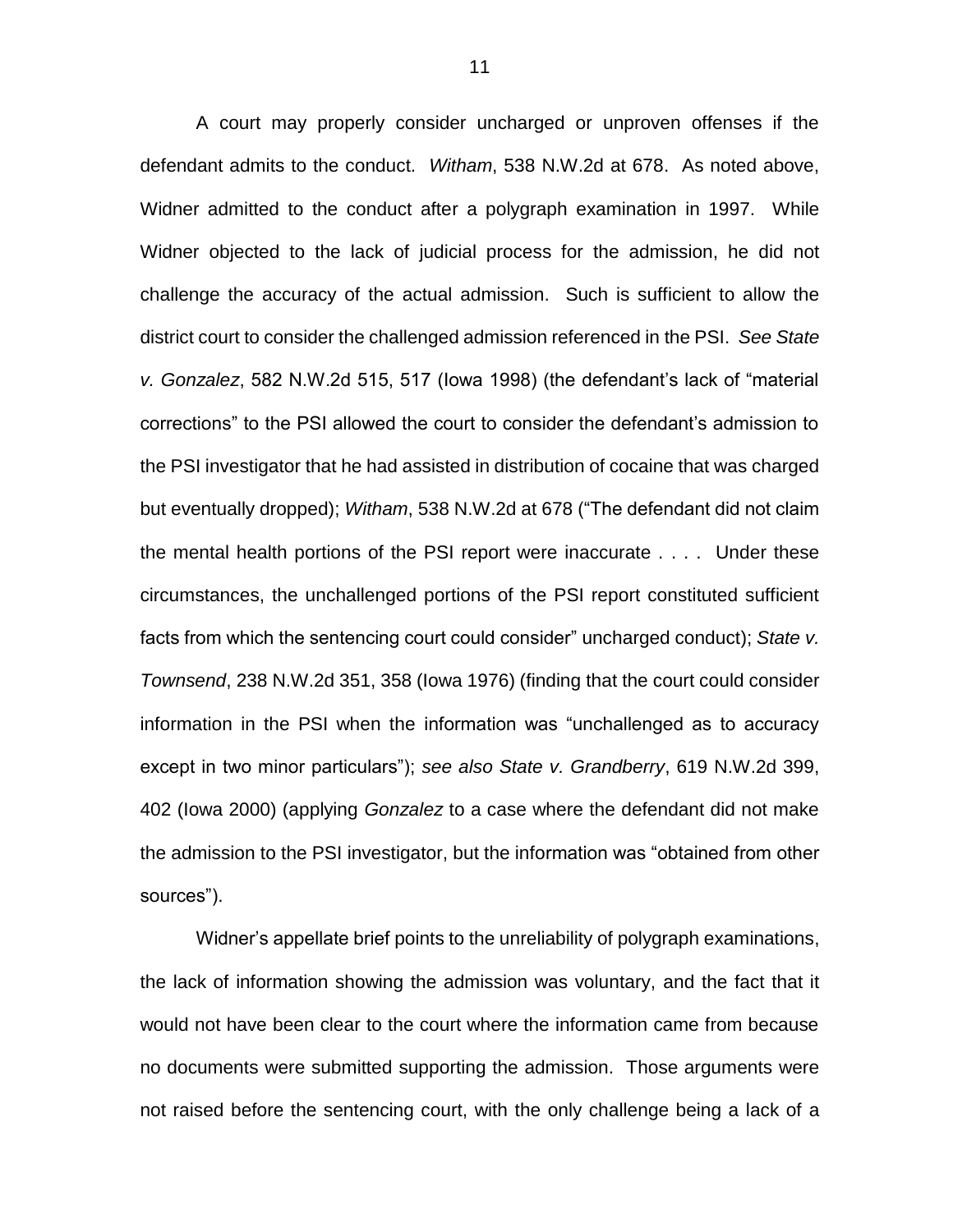A court may properly consider uncharged or unproven offenses if the defendant admits to the conduct. *Witham*, 538 N.W.2d at 678. As noted above, Widner admitted to the conduct after a polygraph examination in 1997. While Widner objected to the lack of judicial process for the admission, he did not challenge the accuracy of the actual admission. Such is sufficient to allow the district court to consider the challenged admission referenced in the PSI. *See State v. Gonzalez*, 582 N.W.2d 515, 517 (Iowa 1998) (the defendant's lack of "material corrections" to the PSI allowed the court to consider the defendant's admission to the PSI investigator that he had assisted in distribution of cocaine that was charged but eventually dropped); *Witham*, 538 N.W.2d at 678 ("The defendant did not claim the mental health portions of the PSI report were inaccurate . . . . Under these circumstances, the unchallenged portions of the PSI report constituted sufficient facts from which the sentencing court could consider" uncharged conduct); *State v. Townsend*, 238 N.W.2d 351, 358 (Iowa 1976) (finding that the court could consider information in the PSI when the information was "unchallenged as to accuracy except in two minor particulars"); *see also State v. Grandberry*, 619 N.W.2d 399, 402 (Iowa 2000) (applying *Gonzalez* to a case where the defendant did not make the admission to the PSI investigator, but the information was "obtained from other sources").

Widner's appellate brief points to the unreliability of polygraph examinations, the lack of information showing the admission was voluntary, and the fact that it would not have been clear to the court where the information came from because no documents were submitted supporting the admission. Those arguments were not raised before the sentencing court, with the only challenge being a lack of a